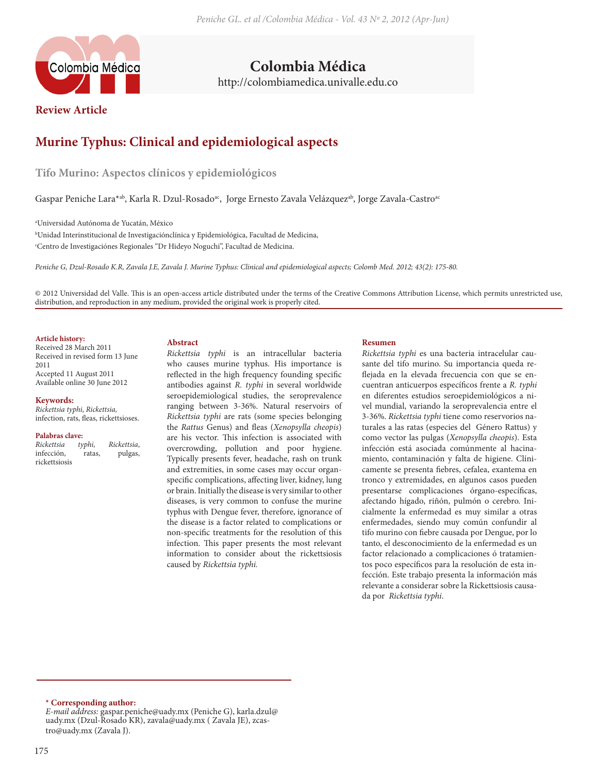

**Colombia Médica** http://colombiamedica.univalle.edu.co

**Review Article**

# **Murine Typhus: Clinical and epidemiological aspects**

**Tifo Murino: Aspectos clínicos y epidemiológicos**

Gaspar Peniche Lara\*ab, Karla R. Dzul-Rosado<sup>ac</sup>, Jorge Ernesto Zavala Velázquez<sup>ab</sup>, Jorge Zavala-Castro<sup>ac</sup>

a Universidad Autónoma de Yucatán, México

b Unidad Interinstitucional de Investigaciónclínica y Epidemiológica, Facultad de Medicina, c Centro de Investigaciónes Regionales "Dr Hideyo Noguchi", Facultad de Medicina.

*Peniche G, Dzul-Rosado K.R, Zavala J.E, Zavala J. Murine Typhus: Clinical and epidemiological aspects; Colomb Med. 2012; 43(2): 175-80.*

© 2012 Universidad del Valle. This is an open-access article distributed under the terms of the Creative Commons Attribution License, which permits unrestricted use, distribution, and reproduction in any medium, provided the original work is properly cited.

### **Article history:**

Received 28 March 2011 Received in revised form 13 June 2011 Accepted 11 August 2011 Available online 30 June 2012

#### **Keywords:**

*Rickettsia typhi*, *Rickettsia,* infection, rats, fleas, rickettsioses.

**Palabras clave:**   $Rickettsia$ infección, ratas, pulgas, rickettsiosis

#### **Abstract**

*Rickettsia typhi* is an intracellular bacteria who causes murine typhus. His importance is reflected in the high frequency founding specific antibodies against *R. typhi* in several worldwide seroepidemiological studies, the seroprevalence ranging between 3-36%. Natural reservoirs of *Rickettsia typhi* are rats (some species belonging the *Rattus* Genus) and fleas (*Xenopsylla cheopis*) are his vector. This infection is associated with overcrowding, pollution and poor hygiene. Typically presents fever, headache, rash on trunk and extremities, in some cases may occur organspecific complications, affecting liver, kidney, lung or brain. Initially the disease is very similar to other diseases, is very common to confuse the murine typhus with Dengue fever, therefore, ignorance of the disease is a factor related to complications or non-specific treatments for the resolution of this infection. This paper presents the most relevant information to consider about the rickettsiosis caused by *Rickettsia typhi.*

#### **Resumen**

*Rickettsia typhi* es una bacteria intracelular causante del tifo murino. Su importancia queda reflejada en la elevada frecuencia con que se encuentran anticuerpos específicos frente a *R. typhi* en diferentes estudios seroepidemiológicos a nivel mundial, variando la seroprevalencia entre el 3-36%. *Rickettsia typhi* tiene como reservorios naturales a las ratas (especies del Género Rattus) y como vector las pulgas (*Xenopsylla cheopis*). Esta infección está asociada comúnmente al hacinamiento, contaminación y falta de higiene. Clínicamente se presenta fiebres, cefalea, exantema en tronco y extremidades, en algunos casos pueden presentarse complicaciones órgano-específicas, afectando hígado, riñón, pulmón o cerebro. Inicialmente la enfermedad es muy similar a otras enfermedades, siendo muy común confundir al tifo murino con fiebre causada por Dengue, por lo tanto, el desconocimiento de la enfermedad es un factor relacionado a complicaciones ó tratamientos poco específicos para la resolución de esta infección. Este trabajo presenta la información más relevante a considerar sobre la Rickettsiosis causada por *Rickettsia typhi*.

#### **\* Corresponding author:**

*E-mail address:* gaspar.peniche@uady.mx (Peniche G), karla.dzul@ uady.mx (Dzul-Rosado KR), zavala@uady.mx ( Zavala JE), zcastro@uady.mx (Zavala J).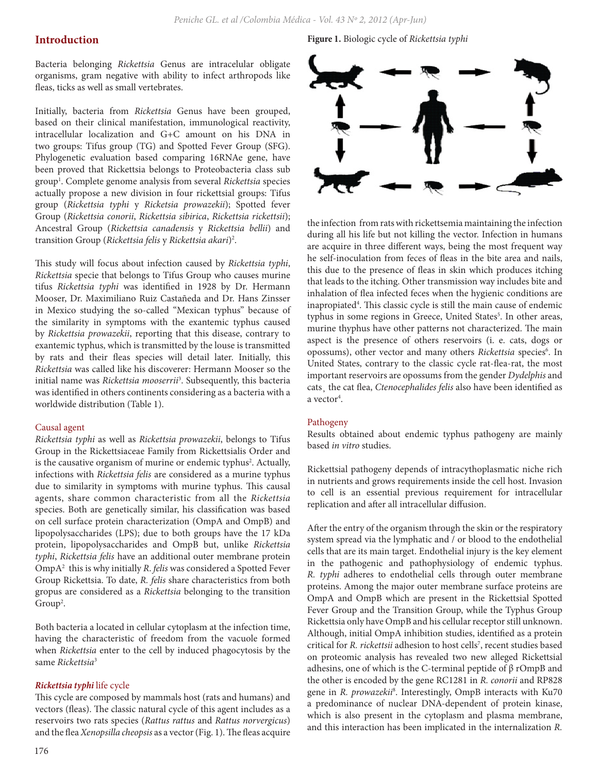# **Introduction**

Bacteria belonging *Rickettsia* Genus are intracelular obligate organisms, gram negative with ability to infect arthropods like fleas, ticks as well as small vertebrates.

Initially, bacteria from *Rickettsia* Genus have been grouped, based on their clinical manifestation, immunological reactivity, intracellular localization and G+C amount on his DNA in two groups: Tifus group (TG) and Spotted Fever Group (SFG). Phylogenetic evaluation based comparing 16RNAe gene, have been proved that Rickettsia belongs to Proteobacteria class sub group1 . Complete genome analysis from several *Rickettsia* species actually propose a new division in four rickettsial groups: Tifus group (*Rickettsia typhi* y *Ricketsia prowazekii*); Spotted fever Group (*Rickettsia conorii*, *Rickettsia sibirica*, *Rickettsia rickettsii*); Ancestral Group (*Rickettsia canadensis* y *Rickettsia bellii*) and transition Group (*Rickettsia felis* y *Rickettsia akari*)2 .

This study will focus about infection caused by *Rickettsia typhi*, *Rickettsia* specie that belongs to Tifus Group who causes murine tifus *Rickettsia typhi* was identified in 1928 by Dr. Hermann Mooser, Dr. Maximiliano Ruiz Castañeda and Dr. Hans Zinsser in Mexico studying the so-called "Mexican typhus" because of the similarity in symptoms with the exantemic typhus caused by *Rickettsia prowazekii*, reporting that this disease, contrary to exantemic typhus, which is transmitted by the louse is transmitted by rats and their fleas species will detail later. Initially, this *Rickettsia* was called like his discoverer: Hermann Mooser so the initial name was *Rickettsia mooserrii*<sup>3</sup> . Subsequently, this bacteria was identified in others continents considering as a bacteria with a worldwide distribution (Table 1).

#### Causal agent

*Rickettsia typhi* as well as *Rickettsia prowazekii*, belongs to Tifus Group in the Rickettsiaceae Family from Rickettsialis Order and is the causative organism of murine or endemic typhus<sup>2</sup>. Actually, infections with *Rickettsia felis* are considered as a murine typhus due to similarity in symptoms with murine typhus. This causal agents, share common characteristic from all the *Rickettsia* species. Both are genetically similar, his classification was based on cell surface protein characterization (OmpA and OmpB) and lipopolysaccharides (LPS); due to both groups have the 17 kDa protein, lipopolysaccharides and OmpB but, unlike *Rickettsia typhi*, *Rickettsia felis* have an additional outer membrane protein OmpA2 this is why initially *R*. *felis* was considered a Spotted Fever Group Rickettsia. To date, *R. felis* share characteristics from both gropus are considered as a *Rickettsia* belonging to the transition  $Group<sup>2</sup>$ .

Both bacteria a located in cellular cytoplasm at the infection time, having the characteristic of freedom from the vacuole formed when *Rickettsia* enter to the cell by induced phagocytosis by the same *Rickettsia*<sup>3</sup>

### *Rickettsia typhi* life cycle

This cycle are composed by mammals host (rats and humans) and vectors (fleas). The classic natural cycle of this agent includes as a reservoirs two rats species (*Rattus rattus* and *Rattus norvergicus*) and the flea *Xenopsilla cheopsis* as a vector (Fig. 1). The fleas acquire

**Figure 1.** Biologic cycle of *Rickettsia typhi*



the infection from rats with rickettsemia maintaining the infection during all his life but not killing the vector. Infection in humans are acquire in three different ways, being the most frequent way he self-inoculation from feces of fleas in the bite area and nails, this due to the presence of fleas in skin which produces itching that leads to the itching. Other transmission way includes bite and inhalation of flea infected feces when the hygienic conditions are inapropiated<sup>4</sup>. This classic cycle is still the main cause of endemic typhus in some regions in Greece, United States<sup>5</sup>. In other areas, murine thyphus have other patterns not characterized. The main aspect is the presence of others reservoirs (i. e. cats, dogs or opossums), other vector and many others *Rickettsia* species<sup>6</sup>. In United States, contrary to the classic cycle rat-flea-rat, the most important reservoirs are opossums from the gender *Dydelphis* and cats¸ the cat flea, *Ctenocephalides felis* also have been identified as a vector<sup>4</sup>.

#### Pathogeny

Results obtained about endemic typhus pathogeny are mainly based *in vitro* studies.

Rickettsial pathogeny depends of intracythoplasmatic niche rich in nutrients and grows requirements inside the cell host. Invasion to cell is an essential previous requirement for intracellular replication and after all intracellular diffusion.

After the entry of the organism through the skin or the respiratory system spread via the lymphatic and / or blood to the endothelial cells that are its main target. Endothelial injury is the key element in the pathogenic and pathophysiology of endemic typhus. *R. typhi* adheres to endothelial cells through outer membrane proteins. Among the major outer membrane surface proteins are OmpA and OmpB which are present in the Rickettsial Spotted Fever Group and the Transition Group, while the Typhus Group Rickettsia only have OmpB and his cellular receptor still unknown. Although, initial OmpA inhibition studies, identified as a protein critical for *R. rickettsii* adhesion to host cells7 , recent studies based on proteomic analysis has revealed two new alleged Rickettsial adhesins, one of which is the C-terminal peptide of β rOmpB and the other is encoded by the gene RC1281 in *R. conorii* and RP828 gene in *R. prowazekii*<sup>8</sup> . Interestingly, OmpB interacts with Ku70 a predominance of nuclear DNA-dependent of protein kinase, which is also present in the cytoplasm and plasma membrane, and this interaction has been implicated in the internalization *R.*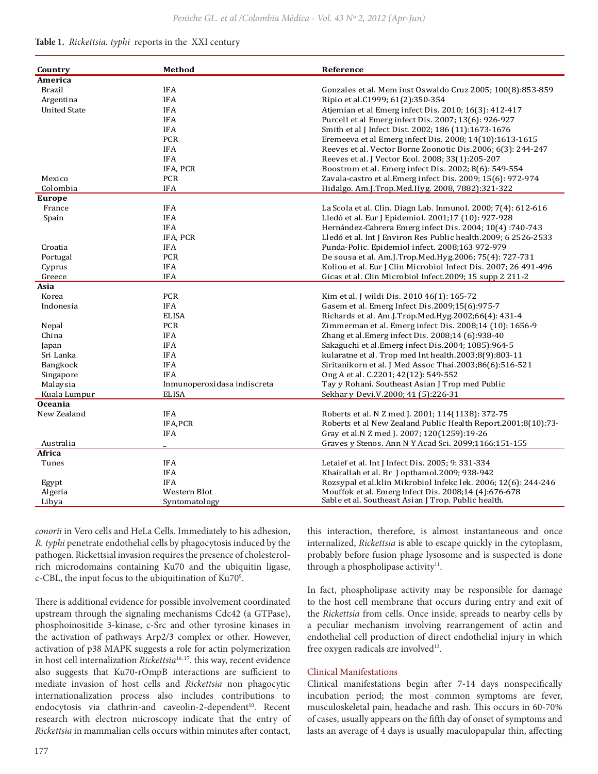*Peniche GL. et al /Colombia Médica - Vol. 43 Nº 2, 2012 (Apr-Jun)*

### **Table 1.** *Rickettsia. typhi* reports in the XXI century

| Country             | Method                      | Reference                                                       |
|---------------------|-----------------------------|-----------------------------------------------------------------|
| America             |                             |                                                                 |
| <b>Brazil</b>       | <b>IFA</b>                  | Gonzales et al. Mem inst Oswaldo Cruz 2005; 100(8):853-859      |
| Argentina           | <b>IFA</b>                  | Ripio et al.C1999; 61(2):350-354                                |
| <b>United State</b> | <b>IFA</b>                  | Atjemian et al Emerg infect Dis. 2010; 16(3): 412-417           |
|                     | <b>IFA</b>                  | Purcell et al Emerg infect Dis. 2007; 13(6): 926-927            |
|                     | <b>IFA</b>                  | Smith et al J Infect Dist. 2002; 186 (11):1673-1676             |
|                     | PCR                         | Eremeeva et al Emerg infect Dis. 2008; 14(10):1613-1615         |
|                     | <b>IFA</b>                  | Reeves et al. Vector Borne Zoonotic Dis.2006; 6(3): 244-247     |
|                     | <b>IFA</b>                  | Reeves et al. J Vector Ecol. 2008; 33(1):205-207                |
|                     | IFA, PCR                    | Boostrom et al. Emerg infect Dis. 2002; 8(6): 549-554           |
| Mexico              | <b>PCR</b>                  | Zavala-castro et al. Emerg infect Dis. 2009; 15(6): 972-974     |
| Colombia            | <b>IFA</b>                  | Hidalgo. Am.J.Trop.Med.Hyg. 2008, 7882):321-322                 |
| <b>Europe</b>       |                             |                                                                 |
| France              | <b>IFA</b>                  | La Scola et al. Clin. Diagn Lab. Inmunol. 2000; 7(4): 612-616   |
| Spain               | <b>IFA</b>                  | Lledó et al. Eur J Epidemiol. 2001;17 (10): 927-928             |
|                     | <b>IFA</b>                  | Hernández-Cabrera Emerg infect Dis. 2004; 10(4):740-743         |
|                     | IFA, PCR                    | Lledó et al. Int J Environ Res Public health.2009; 6 2526-2533  |
| Croatia             | <b>IFA</b>                  | Punda-Polic. Epidemiol infect. 2008;163 972-979                 |
| Portugal            | <b>PCR</b>                  | De sousa et al. Am.J.Trop.Med.Hyg.2006; 75(4): 727-731          |
| Cyprus              | <b>IFA</b>                  | Koliou et al. Eur J Clin Microbiol Infect Dis. 2007; 26 491-496 |
| Greece              | <b>IFA</b>                  | Gicas et al. Clin Microbiol Infect.2009; 15 supp 2 211-2        |
| Asia                |                             |                                                                 |
| Korea               | <b>PCR</b>                  | Kim et al. J wildi Dis. 2010 46(1): 165-72                      |
| Indonesia           | <b>IFA</b>                  | Gasem et al. Emerg Infect Dis.2009;15(6):975-7                  |
|                     | <b>ELISA</b>                | Richards et al. Am.J.Trop.Med.Hyg.2002;66(4): 431-4             |
| Nepal               | PCR                         | Zimmerman et al. Emerg infect Dis. 2008;14 (10): 1656-9         |
| China               | <b>IFA</b>                  | Zhang et al. Emerg infect Dis. 2008;14 (6):938-40               |
| Japan               | <b>IFA</b>                  | Sakaguchi et al. Emerg infect Dis. 2004; 1085):964-5            |
| Sri Lanka           | <b>IFA</b>                  | kularatne et al. Trop med Int health.2003;8(9):803-11           |
| <b>Bangkock</b>     | <b>IFA</b>                  | Siritanikorn et al. J Med Assoc Thai.2003;86(6):516-521         |
| Singapore           | <b>IFA</b>                  | Ong A et al. C.2201; 42(12): 549-552                            |
| Malaysia            | Inmunoperoxidasa indiscreta | Tay y Rohani. Southeast Asian J Trop med Public                 |
| Kuala Lumpur        | <b>ELISA</b>                | Sekhar v Devi.V.2000; 41 (5):226-31                             |
| <b>Oceania</b>      |                             |                                                                 |
| New Zealand         | <b>IFA</b>                  | Roberts et al. N Z med J. 2001; 114(1138): 372-75               |
|                     | IFA, PCR                    | Roberts et al New Zealand Public Health Report.2001;8(10):73-   |
|                     | <b>IFA</b>                  | Gray et al.N Z med J. 2007; 120(1259):19-26                     |
| Australia           |                             | Graves y Stenos. Ann N Y Acad Sci. 2099;1166:151-155            |
| Africa              |                             |                                                                 |
| Tunes               | <b>IFA</b>                  | Letaief et al. Int J Infect Dis. 2005; 9: 331-334               |
|                     | <b>IFA</b>                  | Khairallah et al. Br J opthamol.2009; 938-942                   |
| Egypt               | <b>IFA</b>                  | Rozsypal et al.klin Mikrobiol Infekc lek. 2006; 12(6): 244-246  |
| Algeria             | Western Blot                | Mouffok et al. Emerg Infect Dis. 2008;14 (4):676-678            |
| Libya               | Syntomatology               | Sable et al. Southeast Asian J Trop. Public health.             |

*conorii* in Vero cells and HeLa Cells. Immediately to his adhesion, *R. typhi* penetrate endothelial cells by phagocytosis induced by the pathogen. Rickettsial invasion requires the presence of cholesterolrich microdomains containing Ku70 and the ubiquitin ligase, c-CBL, the input focus to the ubiquitination of Ku70<sup>9</sup>.

There is additional evidence for possible involvement coordinated upstream through the signaling mechanisms Cdc42 (a GTPase), phosphoinositide 3-kinase, c-Src and other tyrosine kinases in the activation of pathways Arp2/3 complex or other. However, activation of p38 MAPK suggests a role for actin polymerization in host cell internalization *Rickettsia*16, 17. this way, recent evidence also suggests that Ku70-rOmpB interactions are sufficient to mediate invasion of host cells and *Rickettsia* non phagocytic internationalization process also includes contributions to endocytosis via clathrin-and caveolin-2-dependent<sup>10</sup>. Recent research with electron microscopy indicate that the entry of *Rickettsia* in mammalian cells occurs within minutes after contact,

this interaction, therefore, is almost instantaneous and once internalized, *Rickettsia* is able to escape quickly in the cytoplasm, probably before fusion phage lysosome and is suspected is done through a phospholipase activity<sup>11</sup>.

In fact, phospholipase activity may be responsible for damage to the host cell membrane that occurs during entry and exit of the *Rickettsia* from cells. Once inside, spreads to nearby cells by a peculiar mechanism involving rearrangement of actin and endothelial cell production of direct endothelial injury in which free oxygen radicals are involved<sup>12</sup>.

## Clinical Manifestations

Clinical manifestations begin after 7-14 days nonspecifically incubation period; the most common symptoms are fever, musculoskeletal pain, headache and rash. This occurs in 60-70% of cases, usually appears on the fifth day of onset of symptoms and lasts an average of 4 days is usually maculopapular thin, affecting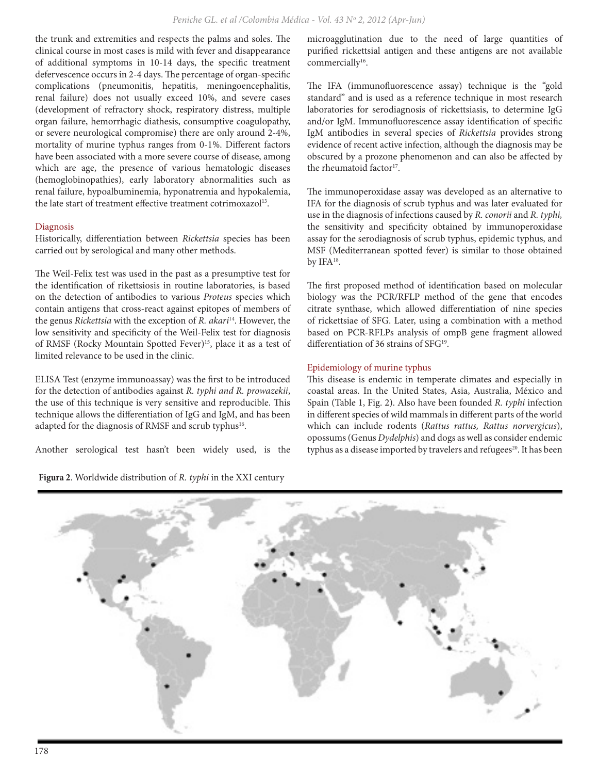the trunk and extremities and respects the palms and soles. The clinical course in most cases is mild with fever and disappearance of additional symptoms in 10-14 days, the specific treatment defervescence occurs in 2-4 days. The percentage of organ-specific complications (pneumonitis, hepatitis, meningoencephalitis, renal failure) does not usually exceed 10%, and severe cases (development of refractory shock, respiratory distress, multiple organ failure, hemorrhagic diathesis, consumptive coagulopathy, or severe neurological compromise) there are only around 2-4%, mortality of murine typhus ranges from 0-1%. Different factors have been associated with a more severe course of disease, among which are age, the presence of various hematologic diseases (hemoglobinopathies), early laboratory abnormalities such as renal failure, hypoalbuminemia, hyponatremia and hypokalemia, the late start of treatment effective treatment cotrimoxazol<sup>13</sup>.

# Diagnosis

Historically, differentiation between *Rickettsia* species has been carried out by serological and many other methods.

The Weil-Felix test was used in the past as a presumptive test for the identification of rikettsiosis in routine laboratories, is based on the detection of antibodies to various *Proteus* species which contain antigens that cross-react against epitopes of members of the genus *Rickettsia* with the exception of *R. akari*14. However, the low sensitivity and specificity of the Weil-Felix test for diagnosis of RMSF (Rocky Mountain Spotted Fever)<sup>15</sup>, place it as a test of limited relevance to be used in the clinic.

ELISA Test (enzyme immunoassay) was the first to be introduced for the detection of antibodies against *R. typhi and R. prowazekii*, the use of this technique is very sensitive and reproducible. This technique allows the differentiation of IgG and IgM, and has been adapted for the diagnosis of RMSF and scrub typhus<sup>16</sup>.

Another serological test hasn't been widely used, is the

**Figura 2**. Worldwide distribution of *R. typhi* in the XXI century

microagglutination due to the need of large quantities of purified rickettsial antigen and these antigens are not available commercially<sup>16</sup>.

The IFA (immunofluorescence assay) technique is the "gold standard" and is used as a reference technique in most research laboratories for serodiagnosis of rickettsiasis, to determine IgG and/or IgM. Immunofluorescence assay identification of specific IgM antibodies in several species of *Rickettsia* provides strong evidence of recent active infection, although the diagnosis may be obscured by a prozone phenomenon and can also be affected by the rheumatoid factor<sup>17</sup>.

The immunoperoxidase assay was developed as an alternative to IFA for the diagnosis of scrub typhus and was later evaluated for use in the diagnosis of infections caused by *R. conorii* and *R. typhi,* the sensitivity and specificity obtained by immunoperoxidase assay for the serodiagnosis of scrub typhus, epidemic typhus, and MSF (Mediterranean spotted fever) is similar to those obtained by IFA18.

The first proposed method of identification based on molecular biology was the PCR/RFLP method of the gene that encodes citrate synthase, which allowed differentiation of nine species of rickettsiae of SFG. Later, using a combination with a method based on PCR-RFLPs analysis of ompB gene fragment allowed differentiation of 36 strains of SFG<sup>19</sup>.

# Epidemiology of murine typhus

This disease is endemic in temperate climates and especially in coastal areas. In the United States, Asia, Australia, México and Spain (Table 1, Fig. 2). Also have been founded *R. typhi* infection in different species of wild mammals in different parts of the world which can include rodents (*Rattus rattus, Rattus norvergicus*), opossums (Genus *Dydelphis*) and dogs as well as consider endemic typhus as a disease imported by travelers and refugees<sup>20</sup>. It has been

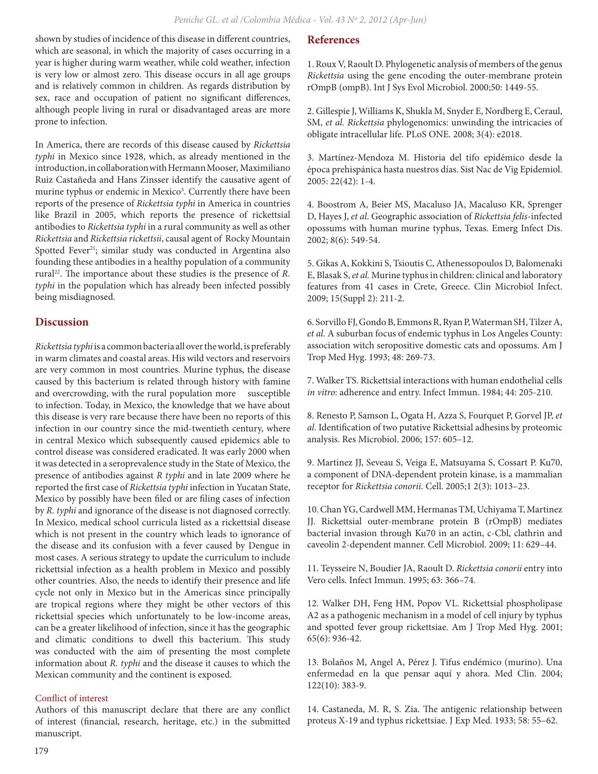shown by studies of incidence of this disease in different countries, which are seasonal, in which the majority of cases occurring in a year is higher during warm weather, while cold weather, infection is very low or almost zero. This disease occurs in all age groups and is relatively common in children. As regards distribution by sex, race and occupation of patient no significant differences, although people living in rural or disadvantaged areas are more prone to infection.

In America, there are records of this disease caused by *Rickettsia typhi* in Mexico since 1928, which, as already mentioned in the introduction, in collaboration with Hermann Mooser, Maximiliano Ruiz Castañeda and Hans Zinsser identify the causative agent of murine typhus or endemic in Mexico<sup>3</sup>. Currently there have been reports of the presence of *Rickettsia typhi* in America in countries like Brazil in 2005, which reports the presence of rickettsial antibodies to *Rickettsia typhi* in a rural community as well as other *Rickettsia* and *Rickettsia rickettsii*, causal agent of Rocky Mountain Spotted Fever<sup>21</sup>; similar study was conducted in Argentina also founding these antibodies in a healthy population of a community rural<sup>22</sup>. The importance about these studies is the presence of *R*. *typhi* in the population which has already been infected possibly being misdiagnosed.

# **Discussion**

*Rickettsia typhi* is a common bacteria all over the world, is preferably in warm climates and coastal areas. His wild vectors and reservoirs are very common in most countries. Murine typhus, the disease caused by this bacterium is related through history with famine and overcrowding, with the rural population more susceptible to infection. Today, in Mexico, the knowledge that we have about this disease is very rare because there have been no reports of this infection in our country since the mid-twentieth century, where in central Mexico which subsequently caused epidemics able to control disease was considered eradicated. It was early 2000 when it was detected in a seroprevalence study in the State of Mexico, the presence of antibodies against *R typhi* and in late 2009 where he reported the first case of *Rickettsia typhi* infection in Yucatan State, Mexico by possibly have been filed or are filing cases of infection by *R. typhi* and ignorance of the disease is not diagnosed correctly. In Mexico, medical school curricula listed as a rickettsial disease which is not present in the country which leads to ignorance of the disease and its confusion with a fever caused by Dengue in most cases. A serious strategy to update the curriculum to include rickettsial infection as a health problem in Mexico and possibly other countries. Also, the needs to identify their presence and life cycle not only in Mexico but in the Americas since principally are tropical regions where they might be other vectors of this rickettsial species which unfortunately to be low-income areas, can be a greater likelihood of infection, since it has the geographic and climatic conditions to dwell this bacterium. This study was conducted with the aim of presenting the most complete information about *R. typhi* and the disease it causes to which the Mexican community and the continent is exposed.

# Conflict of interest

Authors of this manuscript declare that there are any conflict of interest (financial, research, heritage, etc.) in the submitted manuscript.

# **References**

1. Roux V, Raoult D. Phylogenetic analysis of members of the genus *Rickettsia* using the gene encoding the outer-membrane protein rOmpB (ompB). Int J Sys Evol Microbiol. 2000;50: 1449-55.

2. Gillespie J, Williams K, Shukla M, Snyder E, Nordberg E, Ceraul, SM, *et al. Rickettsia* phylogenomics: unwinding the intricacies of obligate intracellular life. PLoS ONE. 2008; 3(4): e2018.

3. Martínez-Mendoza M. Historia del tifo epidémico desde la época prehispánica hasta nuestros días. Sist Nac de Vig Epidemiol. 2005: 22(42): 1-4.

4. Boostrom A, Beier MS, Macaluso JA, Macaluso KR, Sprenger D, Hayes J, *et al*. Geographic association of *Rickettsia felis*-infected opossums with human murine typhus, Texas. Emerg Infect Dis. 2002; 8(6): 549-54.

5. Gikas A, Kokkini S, Tsioutis C, Athenessopoulos D, Balomenaki E, Blasak S, *et al.* Murine typhus in children: clinical and laboratory features from 41 cases in Crete, Greece. Clin Microbiol Infect. 2009; 15(Suppl 2): 211-2.

6. Sorvillo FJ, Gondo B, Emmons R, Ryan P, Waterman SH, Tilzer A, *et al.* A suburban focus of endemic typhus in Los Angeles County: association witch seropositive domestic cats and opossums. Am J Trop Med Hyg. 1993; 48: 269-73.

7. Walker TS. Rickettsial interactions with human endothelial cells *in vitro*: adherence and entry. Infect Immun. 1984; 44: 205-210.

8. Renesto P, Samson L, Ogata H, Azza S, Fourquet P, Gorvel JP, *et al*. Identification of two putative Rickettsial adhesins by proteomic analysis. Res Microbiol. 2006; 157: 605–12.

9. Martinez JJ, Seveau S, Veiga E, Matsuyama S, Cossart P. Ku70, a component of DNA-dependent protein kinase, is a mammalian receptor for *Rickettsia conorii.* Cell. 2005;1 2(3): 1013–23.

10. Chan YG, Cardwell MM, Hermanas TM, Uchiyama T, Martinez JJ. Rickettsial outer-membrane protein B (rOmpB) mediates bacterial invasion through Ku70 in an actin, c-Cbl, clathrin and caveolin 2-dependent manner. Cell Microbiol. 2009; 11: 629–44.

11. Teysseire N, Boudier JA, Raoult D. *Rickettsia conorii* entry into Vero cells. Infect Immun. 1995; 63: 366–74.

12. Walker DH, Feng HM, Popov VL. Rickettsial phospholipase A2 as a pathogenic mechanism in a model of cell injury by typhus and spotted fever group rickettsiae. Am J Trop Med Hyg. 2001; 65(6): 936-42.

13. Bolaños M, Angel A, Pérez J. Tifus endémico (murino). Una enfermedad en la que pensar aquí y ahora. Med Clin. 2004; 122(10): 383-9.

14. Castaneda, M. R, S. Zia. The antigenic relationship between proteus X-19 and typhus rickettsiae. J Exp Med. 1933; 58: 55–62.